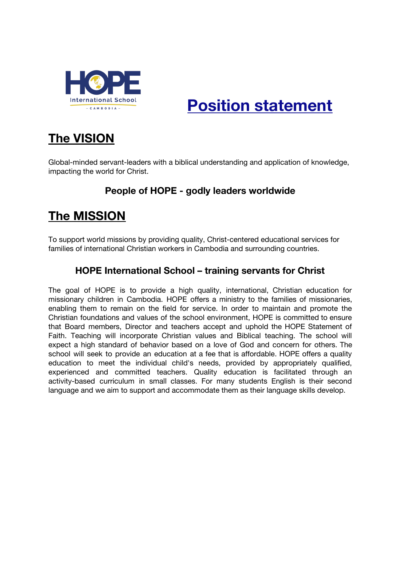

# **Position statement**

## **The VISION**

Global-minded servant-leaders with a biblical understanding and application of knowledge, impacting the world for Christ.

## **People of HOPE - godly leaders worldwide**

## **The MISSION**

To support world missions by providing quality, Christ-centered educational services for families of international Christian workers in Cambodia and surrounding countries.

## **HOPE International School – training servants for Christ**

The goal of HOPE is to provide a high quality, international, Christian education for missionary children in Cambodia. HOPE offers a ministry to the families of missionaries, enabling them to remain on the field for service. In order to maintain and promote the Christian foundations and values of the school environment, HOPE is committed to ensure that Board members, Director and teachers accept and uphold the HOPE Statement of Faith. Teaching will incorporate Christian values and Biblical teaching. The school will expect a high standard of behavior based on a love of God and concern for others. The school will seek to provide an education at a fee that is affordable. HOPE offers a quality education to meet the individual child's needs, provided by appropriately qualified, experienced and committed teachers. Quality education is facilitated through an activity-based curriculum in small classes. For many students English is their second language and we aim to support and accommodate them as their language skills develop.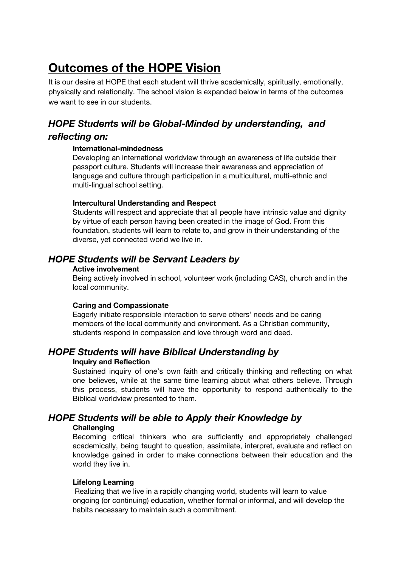## **Outcomes of the HOPE Vision**

It is our desire at HOPE that each student will thrive academically, spiritually, emotionally, physically and relationally. The school vision is expanded below in terms of the outcomes we want to see in our students.

## *HOPE Students will be Global-Minded by understanding, and*

#### *reflecting on:*

#### **International-mindedness**

Developing an international worldview through an awareness of life outside their passport culture. Students will increase their awareness and appreciation of language and culture through participation in a multicultural, multi-ethnic and multi-lingual school setting.

#### **Intercultural Understanding and Respect**

Students will respect and appreciate that all people have intrinsic value and dignity by virtue of each person having been created in the image of God. From this foundation, students will learn to relate to, and grow in their understanding of the diverse, yet connected world we live in.

## *HOPE Students will be Servant Leaders by*

#### **Active involvement**

Being actively involved in school, volunteer work (including CAS), church and in the local community.

#### **Caring and Compassionate**

Eagerly initiate responsible interaction to serve others' needs and be caring members of the local community and environment. As a Christian community, students respond in compassion and love through word and deed.

## *HOPE Students will have Biblical Understanding by*

#### **Inquiry and Reflection**

Sustained inquiry of one's own faith and critically thinking and reflecting on what one believes, while at the same time learning about what others believe. Through this process, students will have the opportunity to respond authentically to the Biblical worldview presented to them.

## *HOPE Students will be able to Apply their Knowledge by*

#### **Challenging**

Becoming critical thinkers who are sufficiently and appropriately challenged academically, being taught to question, assimilate, interpret, evaluate and reflect on knowledge gained in order to make connections between their education and the world they live in.

#### **Lifelong Learning**

Realizing that we live in a rapidly changing world, students will learn to value ongoing (or continuing) education, whether formal or informal, and will develop the habits necessary to maintain such a commitment.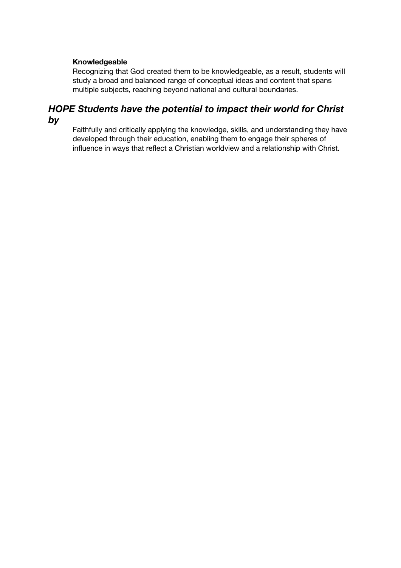#### **Knowledgeable**

Recognizing that God created them to be knowledgeable, as a result, students will study a broad and balanced range of conceptual ideas and content that spans multiple subjects, reaching beyond national and cultural boundaries.

### *HOPE Students have the potential to impact their world for Christ by*

Faithfully and critically applying the knowledge, skills, and understanding they have developed through their education, enabling them to engage their spheres of influence in ways that reflect a Christian worldview and a relationship with Christ.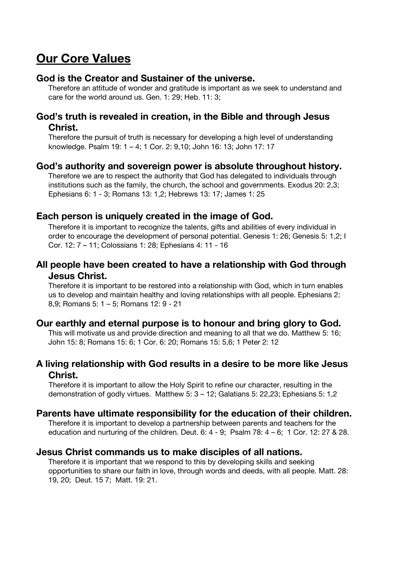## **Our Core Values**

## **God is the Creator and Sustainer of the universe.**

Therefore an attitude of wonder and gratitude is important as we seek to understand and care for the world around us. Gen. 1: 29; Heb. 11: 3;

### **God's truth is revealed in creation, in the Bible and through Jesus Christ.**

Therefore the pursuit of truth is necessary for developing a high level of understanding knowledge. Psalm 19: 1 – 4; 1 Cor. 2: 9,10; John 16: 13; John 17: 17

### **God's authority and sovereign power is absolute throughout history.**

Therefore we are to respect the authority that God has delegated to individuals through institutions such as the family, the church, the school and governments. Exodus 20: 2,3; Ephesians 6: 1 - 3; Romans 13: 1,2; Hebrews 13: 17; James 1: 25

## **Each person is uniquely created in the image of God.**

Therefore it is important to recognize the talents, gifts and abilities of every individual in order to encourage the development of personal potential. Genesis 1: 26; Genesis 5: 1,2; I Cor. 12: 7 – 11; Colossians 1: 28; Ephesians 4: 11 - 16

## **All people have been created to have a relationship with God through Jesus Christ.**

Therefore it is important to be restored into a relationship with God, which in turn enables us to develop and maintain healthy and loving relationships with all people. Ephesians 2: 8,9; Romans 5: 1 – 5; Romans 12: 9 - 21

## **Our earthly and eternal purpose is to honour and bring glory to God.**

This will motivate us and provide direction and meaning to all that we do. Matthew 5: 16; John 15: 8; Romans 15: 6; 1 Cor. 6: 20; Romans 15: 5,6; 1 Peter 2: 12

## **A living relationship with God results in a desire to be more like Jesus Christ.**

Therefore it is important to allow the Holy Spirit to refine our character, resulting in the demonstration of godly virtues. Matthew 5: 3 – 12; Galatians 5: 22,23; Ephesians 5: 1,2

## **Parents have ultimate responsibility for the education of their children.**

Therefore it is important to develop a partnership between parents and teachers for the education and nurturing of the children. Deut. 6: 4 - 9; Psalm 78: 4 – 6; 1 Cor. 12: 27 & 28.

### **Jesus Christ commands us to make disciples of all nations.**

Therefore it is important that we respond to this by developing skills and seeking opportunities to share our faith in love, through words and deeds, with all people. Matt. 28: 19, 20; Deut. 15 7; Matt. 19: 21.